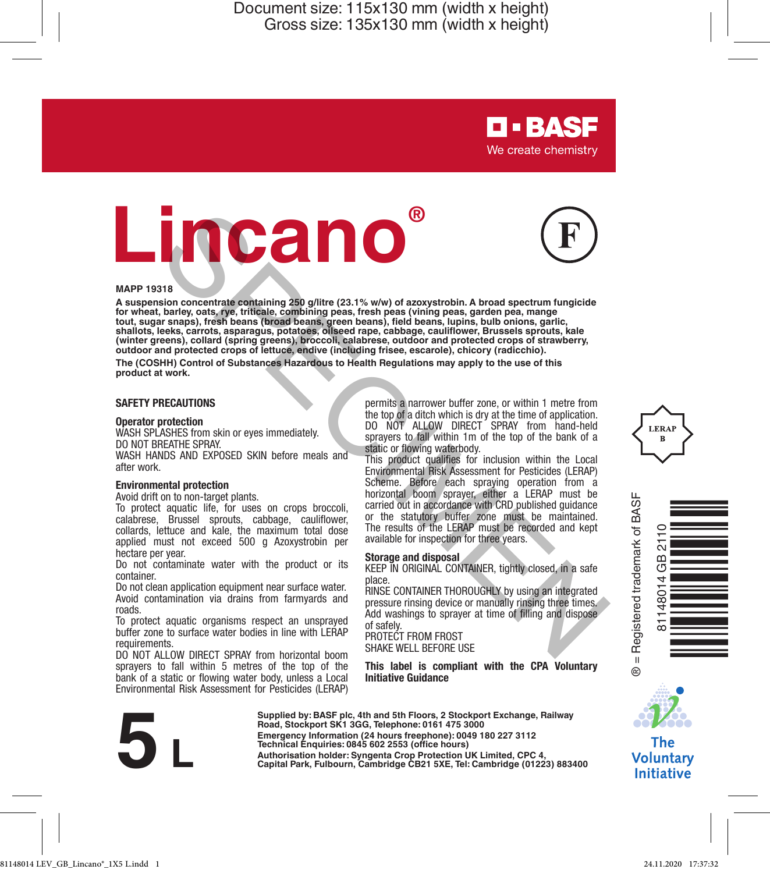# **Lincano®**



**D-BASF** We create chemistry

#### **MAPP 19318**

**A suspension concentrate containing 250 g/litre (23.1% w/w) of azoxystrobin. A broad spectrum fungicide**  for wheat, barley, oats, rye, triticale, combining peas, tresh peas (vining peas, garden pea, mange<br>tout, sugar snaps), fresh beans (broad beans, green beans), field beans, lupins, bulb onions, garlic,<br>shallots, leeks, car **(winter greens), collard (spring greens), broccoli, calabrese, outdoor and protected crops of strawberry, outdoor and protected crops of lettuce, endive (including frisee, escarole), chicory (radicchio).** State contract experimental and the specifical control of the specifical contract experimental and disposition of the specifical contract experimental and the specifical control of substances in the specifical control of s

**The (COSHH) Control of Substances Hazardous to Health Regulations may apply to the use of this product at work.**

#### **SAFETY PRECAUTIONS**

#### **Operator protection**

WASH SPLASHES from skin or eyes immediately. DO NOT BREATHE SPRAY.

WASH HANDS AND EXPOSED SKIN before meals and after work.

#### **Environmental protection**

Avoid drift on to non-target plants.

To protect aquatic life, for uses on crops broccoli, calabrese, Brussel sprouts, cabbage, cauliflower, collards, lettuce and kale, the maximum total dose applied must not exceed 500 g Azoxystrobin per hectare per year.

Do not contaminate water with the product or its container.

Do not clean application equipment near surface water. Avoid contamination via drains from farmyards and roads.

To protect aquatic organisms respect an unsprayed buffer zone to surface water bodies in line with LERAP requirements.

DO NOT ALLOW DIRECT SPRAY from horizontal boom sprayers to fall within 5 metres of the top of the bank of a static or flowing water body, unless a Local Environmental Risk Assessment for Pesticides (LERAP)

permits a narrower buffer zone, or within 1 metre from the top of a ditch which is dry at the time of application. DO NOT ALLOW DIRECT SPRAY from hand-held sprayers to fall within 1m of the top of the bank of a static or flowing waterbody.

This product qualifies for inclusion within the Local Environmental Risk Assessment for Pesticides (LERAP) Scheme. Before each spraying operation from a horizontal boom sprayer, either a LERAP must be carried out in accordance with CRD published guidance or the statutory buffer zone must be maintained. The results of the LERAP must be recorded and kept available for inspection for three years.

#### **Storage and disposal**

KEEP IN ORIGINAL CONTAINER, tightly closed, in a safe place.

RINSE CONTAINER THOROUGHLY by using an integrated pressure rinsing device or manually rinsing three times. Add washings to sprayer at time of filling and dispose of safely. PROTECT FROM FROST

SHAKE WELL BEFORE USE

**This label is compliant with the CPA Voluntary Initiative Guidance**



**Supplied by: BASF plc, 4th and 5th Floors, 2 Stockport Exchange, Railway Road, Stockport SK1 3GG, Telephone: 0161 475 3000 Emergency Information (24 hours freephone): 0049 180 227 3112 Technical Enquiries: 0845 602 2553 (office hours)** Bould Stockport SK1 3GG, Telephone: 0161 475 3000<br>Emergency Information (24 hours freephone: 0161 475 3000<br>Emergency Information (24 hours freephone: 0160 476 3000<br>Technical Enquiries: 0845 602 2553 (office hours)<br>Authoris







The **Voluntary Initiative**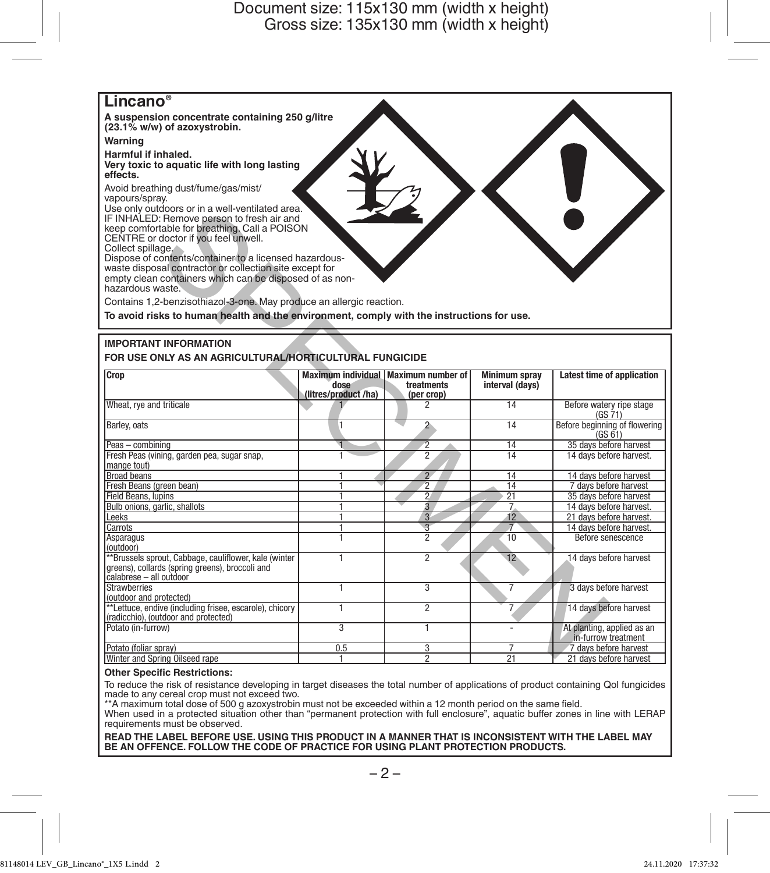

#### **IMPORTANT INFORMATION**

| USE ONly outdoors or in a well-ventilated area.<br>IF INHALED: Remove person to fresh air and<br>keep comfortable for breathing. Call a POISON<br>CENTRE or doctor if you feel unwell.<br>Collect spillage.<br>Dispose of contents/container to a licensed hazardous-<br>waste disposal contractor or collection site except for<br>empty clean containers which can be disposed of as non-<br>hazardous waste.<br>Contains 1,2-benzisothiazol-3-one. May produce an allergic reaction. |                                      |                                                      |                                         |                                                      |  |  |  |  |  |  |
|-----------------------------------------------------------------------------------------------------------------------------------------------------------------------------------------------------------------------------------------------------------------------------------------------------------------------------------------------------------------------------------------------------------------------------------------------------------------------------------------|--------------------------------------|------------------------------------------------------|-----------------------------------------|------------------------------------------------------|--|--|--|--|--|--|
| To avoid risks to human health and the environment, comply with the instructions for use.                                                                                                                                                                                                                                                                                                                                                                                               |                                      |                                                      |                                         |                                                      |  |  |  |  |  |  |
| <b>IMPORTANT INFORMATION</b><br>FOR USE ONLY AS AN AGRICULTURAL/HORTICULTURAL FUNGICIDE<br>Crop                                                                                                                                                                                                                                                                                                                                                                                         | dose                                 | Maximum individual   Maximum number of<br>treatments | <b>Minimum sprav</b><br>interval (days) | Latest time of application                           |  |  |  |  |  |  |
|                                                                                                                                                                                                                                                                                                                                                                                                                                                                                         | (litres/product/ha)                  | (per crop)                                           |                                         |                                                      |  |  |  |  |  |  |
| Wheat, rve and triticale                                                                                                                                                                                                                                                                                                                                                                                                                                                                |                                      | 2                                                    | 14                                      | Before watery ripe stage<br>(GS 71)                  |  |  |  |  |  |  |
| Barley, oats                                                                                                                                                                                                                                                                                                                                                                                                                                                                            | I1                                   | $2 -$                                                | 14                                      | Before beginning of flowering<br>(GS <sub>61</sub> ) |  |  |  |  |  |  |
| Peas - combining                                                                                                                                                                                                                                                                                                                                                                                                                                                                        | а                                    | $\overline{2}$                                       | 14                                      | 35 days before harvest                               |  |  |  |  |  |  |
| Fresh Peas (vining, garden pea, sugar snap,<br>mange tout)                                                                                                                                                                                                                                                                                                                                                                                                                              |                                      | $\overline{2}$                                       | 14                                      | 14 days before harvest.                              |  |  |  |  |  |  |
| <b>Broad beans</b>                                                                                                                                                                                                                                                                                                                                                                                                                                                                      |                                      | $\overline{2}$                                       | $\overline{14}$                         | 14 days before harvest                               |  |  |  |  |  |  |
| Fresh Beans (green bean)                                                                                                                                                                                                                                                                                                                                                                                                                                                                | 1                                    | $\overline{2}$                                       | 14                                      | 7 days before harvest                                |  |  |  |  |  |  |
| <b>Field Beans, lupins</b>                                                                                                                                                                                                                                                                                                                                                                                                                                                              | 1                                    | $\overline{2}$                                       | 21                                      | 35 days before harvest                               |  |  |  |  |  |  |
| Bulb onions, garlic, shallots                                                                                                                                                                                                                                                                                                                                                                                                                                                           | 1                                    | $\overline{a}$                                       | $\overline{7}$                          | 14 days before harvest.                              |  |  |  |  |  |  |
| I eeks                                                                                                                                                                                                                                                                                                                                                                                                                                                                                  | 1                                    | 3 <sup>7</sup>                                       | 12                                      | 21 days before harvest.                              |  |  |  |  |  |  |
| Carrots                                                                                                                                                                                                                                                                                                                                                                                                                                                                                 | 1                                    | $\overline{\mathcal{E}}$                             | $\overline{\tau}$                       | 14 days before harvest.                              |  |  |  |  |  |  |
| Asparagus<br>(outdoor)                                                                                                                                                                                                                                                                                                                                                                                                                                                                  | ī                                    | $\overline{2}$                                       | 10                                      | Before senescence                                    |  |  |  |  |  |  |
| **Brussels sprout, Cabbage, cauliflower, kale (winter<br>greens), collards (spring greens), broccoli and<br>calabrese - all outdoor                                                                                                                                                                                                                                                                                                                                                     | 1                                    | $\overline{2}$                                       | 12                                      | 14 days before harvest                               |  |  |  |  |  |  |
| <b>Strawberries</b><br>(outdoor and protected)                                                                                                                                                                                                                                                                                                                                                                                                                                          | 1                                    | $\overline{3}$                                       | 7                                       | 3 days before harvest                                |  |  |  |  |  |  |
| **Lettuce, endive (including frisee, escarole), chicory<br>(radicchio), (outdoor and protected)                                                                                                                                                                                                                                                                                                                                                                                         | 1                                    | $\overline{2}$                                       | 7                                       | 14 days before harvest                               |  |  |  |  |  |  |
| Potato (in-furrow)                                                                                                                                                                                                                                                                                                                                                                                                                                                                      | $\overline{\overline{\overline{3}}}$ | T                                                    | $\overline{a}$                          | At planting, applied as an<br>in-furrow treatment    |  |  |  |  |  |  |
| Potato (foliar sprav)                                                                                                                                                                                                                                                                                                                                                                                                                                                                   | 0.5                                  | 3                                                    | 7                                       | 7 days before harvest                                |  |  |  |  |  |  |
| Winter and Spring Oilseed rape                                                                                                                                                                                                                                                                                                                                                                                                                                                          |                                      | $\overline{2}$                                       | $\overline{21}$                         | 21 days before harvest                               |  |  |  |  |  |  |

#### **Other Specific Restrictions:**

To reduce the risk of resistance developing in target diseases the total number of applications of product containing Qol fungicides

made to any cereal crop must not exceed two. \*\*A maximum total dose of 500 g azoxystrobin must not be exceeded within a 12 month period on the same field.

When used in a protected situation other than "permanent protection with full enclosure", aquatic buffer zones in line with LERAP requirements must be observed.

**READ THE LABEL BEFORE USE. USING THIS PRODUCT IN A MANNER THAT IS INCONSISTENT WITH THE LABEL MAY BE AN OFFENCE. FOLLOW THE CODE OF PRACTICE FOR USING PLANT PROTECTION PRODUCTS.**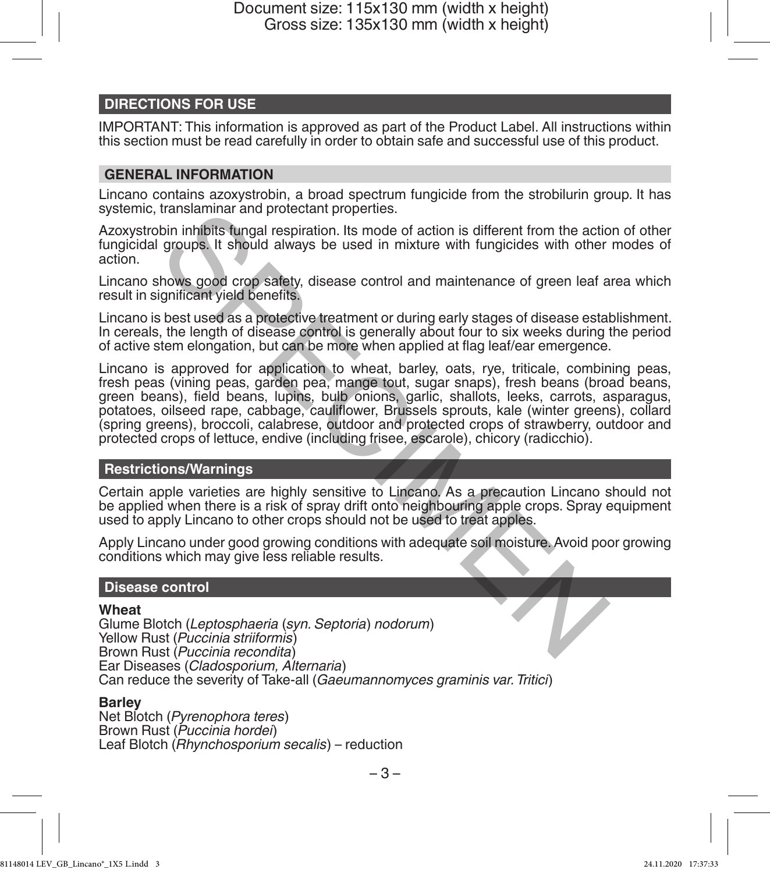## **DIRECTIONS FOR USE**

IMPORTANT: This information is approved as part of the Product Label. All instructions within this section must be read carefully in order to obtain safe and successful use of this product.

## **GENERAL INFORMATION**

Lincano contains azoxystrobin, a broad spectrum fungicide from the strobilurin group. It has systemic, translaminar and protectant properties.

Azoxystrobin inhibits fungal respiration. Its mode of action is different from the action of other fungicidal groups. It should always be used in mixture with fungicides with other modes of action.

Lincano shows good crop safety, disease control and maintenance of green leaf area which result in significant yield benefits.

Lincano is best used as a protective treatment or during early stages of disease establishment. In cereals, the length of disease control is generally about four to six weeks during the period of active stem elongation, but can be more when applied at flag leaf/ear emergence.

Lincano is approved for application to wheat, barley, oats, rye, triticale, combining peas, fresh peas (vining peas, garden pea, mange tout, sugar snaps), fresh beans (broad beans, green beans), field beans, lupins, bulb onions, garlic, shallots, leeks, carrots, asparagus, potatoes, oilseed rape, cabbage, cauliflower, Brussels sprouts, kale (winter greens), collard (spring greens), broccoli, calabrese, outdoor and protected crops of strawberry, outdoor and protected crops of lettuce, endive (including frisee, escarole), chicory (radicchio). transianimar and protectant properues.<br>
Signaph in highis fungal respiration. Its mode of action is different from the action<br>
groups. It should always be used in mixture with fungicides with other<br>
shows good crop safety,

#### **Restrictions/Warnings**

Certain apple varieties are highly sensitive to Lincano. As a precaution Lincano should not be applied when there is a risk of spray drift onto neighbouring apple crops. Spray equipment used to apply Lincano to other crops should not be used to treat apples.

Apply Lincano under good growing conditions with adequate soil moisture. Avoid poor growing conditions which may give less reliable results.

#### **Disease control**

#### **Wheat**

Glume Blotch (*Leptosphaeria* (*syn. Septoria*) *nodorum*) Yellow Rust (*Puccinia striiformis*) Brown Rust (*Puccinia recondita*) Ear Diseases (*Cladosporium, Alternaria*) Can reduce the severity of Take-all (*Gaeumannomyces graminis var. Tritici*)

#### **Barley**

Net Blotch (*Pyrenophora teres*) Brown Rust (*Puccinia hordei*) Leaf Blotch (*Rhynchosporium secalis*) – reduction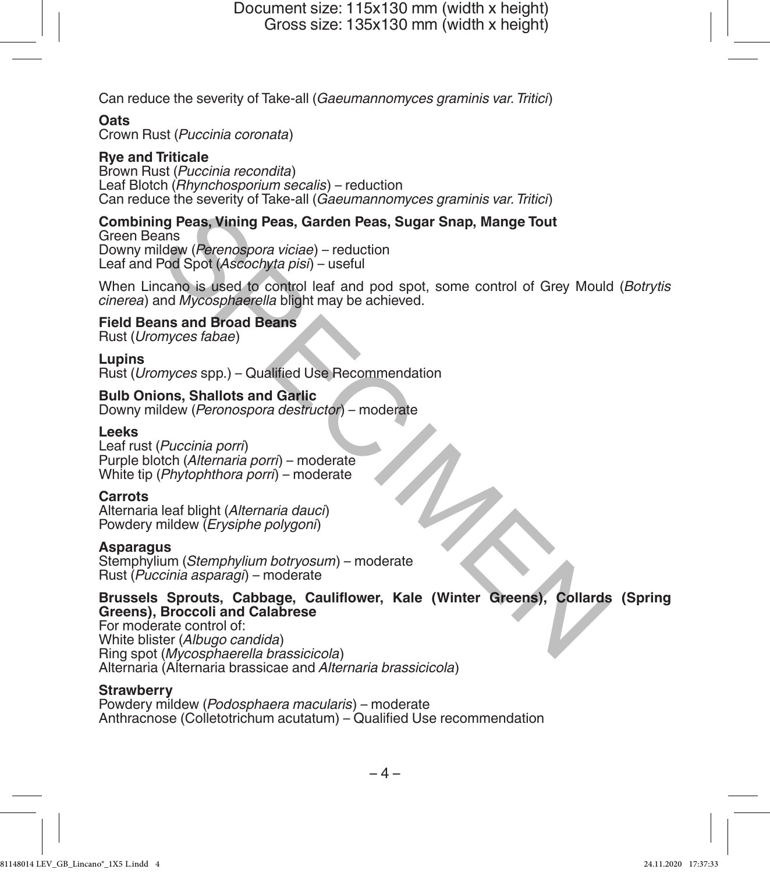Can reduce the severity of Take-all (*Gaeumannomyces graminis var. Tritici*)

## **Oats**

Crown Rust (*Puccinia coronata*)

## **Rye and Triticale**

Brown Rust (*Puccinia recondita*) Leaf Blotch (*Rhynchosporium secalis*) – reduction Can reduce the severity of Take-all (*Gaeumannomyces graminis var.Tritici*)

## **Combining Peas, Vining Peas, Garden Peas, Sugar Snap, Mange Tout**

Green Beans Downy mildew (*Perenospora viciae*) – reduction Leaf and Pod Spot (*Ascochyta pisi*) – useful

When Lincano is used to control leaf and pod spot, some control of Grey Mould (*Botrytis cinerea*) and *Mycosphaerella* blight may be achieved. ng Peas, Vining Peas, Garden Peas, Sugar Snap, Mange Tout<br>
Idew (Perenospora viciae) – reduction<br>
Pod Spot (Ascochyta pisi) – useful<br>
Idew (Perenospora viciae) – reduction<br>
Rod Spot (Ascochyta pisi) – useful<br>
In any bosoph

## **Field Beans and Broad Beans**

Rust (*Uromyces fabae*)

## **Lupins**

Rust (*Uromyces* spp.) – Qualified Use Recommendation

## **Bulb Onions, Shallots and Garlic**

Downy mildew (*Peronospora destructor*) – moderate

## **Leeks**

Leaf rust (*Puccinia porri*) Purple blotch (*Alternaria porri*) – moderate White tip (*Phytophthora porri*) – moderate

#### **Carrots**

Alternaria leaf blight (*Alternaria dauci*) Powdery mildew (*Erysiphe polygoni*)

#### **Asparagus**

Stemphylium (*Stemphylium botryosum*) – moderate Rust (*Puccinia asparagi*) – moderate

## **Brussels Sprouts, Cabbage, Cauliflower, Kale (Winter Greens), Collards (Spring Greens), Broccoli and Calabrese**

For moderate control of: White blister (*Albugo candida*) Ring spot (*Mycosphaerella brassicicola*) Alternaria (Alternaria brassicae and *Alternaria brassicicola*)

## **Strawberry**

Powdery mildew (*Podosphaera macularis*) – moderate Anthracnose (Colletotrichum acutatum) – Qualified Use recommendation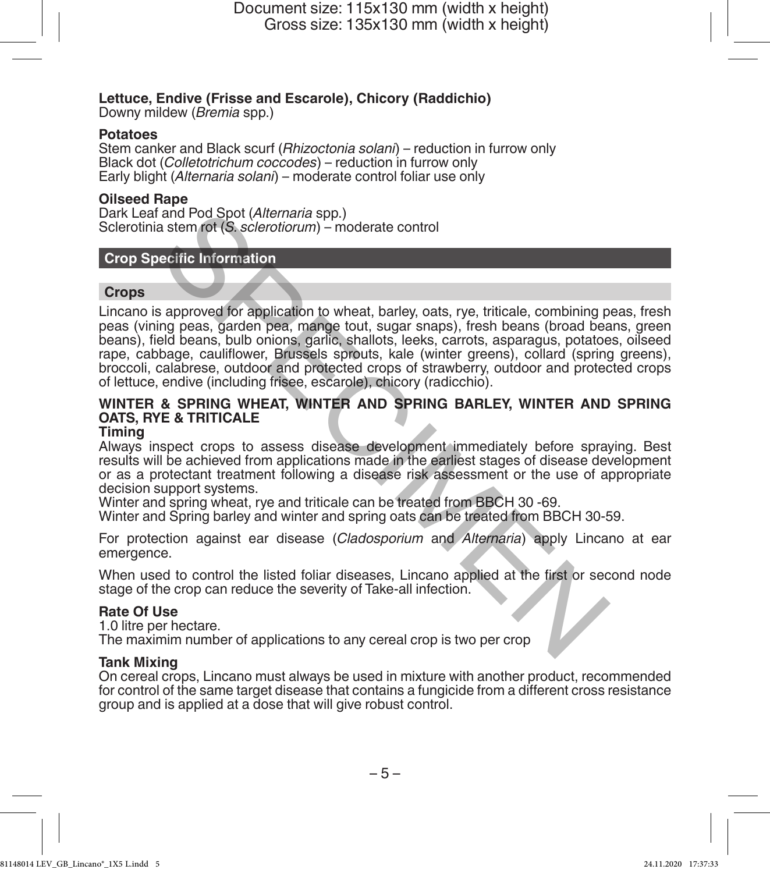## **Lettuce, Endive (Frisse and Escarole), Chicory (Raddichio)**

Downy mildew (*Bremia* spp.)

### **Potatoes**

Stem canker and Black scurf (*Rhizoctonia solani*) – reduction in furrow only Black dot (*Colletotrichum coccodes*) – reduction in furrow only Early blight (*Alternaria solani*) – moderate control foliar use only

#### **Oilseed Rape**

Dark Leaf and Pod Spot (*Alternaria* spp.) Sclerotinia stem rot (*S. sclerotiorum*) – moderate control

## **Crop Specific Information**

#### **Crops**

Lincano is approved for application to wheat, barley, oats, rye, triticale, combining peas, fresh peas (vining peas, garden pea, mange tout, sugar snaps), fresh beans (broad beans, green beans), field beans, bulb onions, garlic, shallots, leeks, carrots, asparagus, potatoes, oilseed rape, cabbage, cauliflower, Brussels sprouts, kale (winter greens), collard (spring greens), broccoli, calabrese, outdoor and protected crops of strawberry, outdoor and protected crops of lettuce, endive (including frisee, escarole), chicory (radicchio). and Pod Spot (Alternaria spp.)<br>
a stem rot (S. sclerotiorum) – moderate control<br>
rediric Information<br>
rediric Information<br>
a spape of the space of the sure of the space of the space, garden peak, garden peak, and been<br>
bee

# **WINTER & SPRING WHEAT, WINTER AND SPRING BARLEY, WINTER AND SPRING OATS, RYE & TRITICALE**

## **Timing**

Always inspect crops to assess disease development immediately before spraying. Best results will be achieved from applications made in the earliest stages of disease development or as a protectant treatment following a disease risk assessment or the use of appropriate decision support systems.

Winter and spring wheat, rye and triticale can be treated from BBCH 30 -69.

Winter and Spring barley and winter and spring oats can be treated from BBCH 30-59.

For protection against ear disease (*Cladosporium* and *Alternaria*) apply Lincano at ear emergence.

When used to control the listed foliar diseases, Lincano applied at the first or second node stage of the crop can reduce the severity of Take-all infection.

#### **Rate Of Use**

1.0 litre per hectare.

The maximim number of applications to any cereal crop is two per crop

## **Tank Mixing**

On cereal crops, Lincano must always be used in mixture with another product, recommended for control of the same target disease that contains a fungicide from a different cross resistance group and is applied at a dose that will give robust control.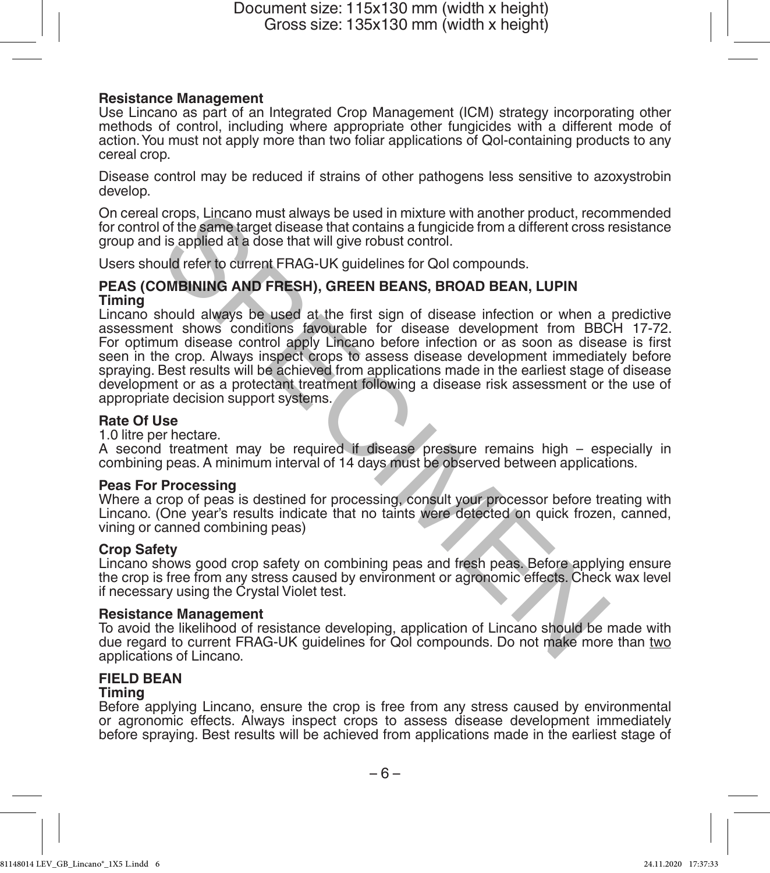## **Resistance Management**

Use Lincano as part of an Integrated Crop Management (ICM) strategy incorporating other methods of control, including where appropriate other fungicides with a different mode of action. You must not apply more than two foliar applications of Qol-containing products to any cereal crop.

Disease control may be reduced if strains of other pathogens less sensitive to azoxystrobin develop.

On cereal crops, Lincano must always be used in mixture with another product, recommended for control of the same target disease that contains a fungicide from a different cross resistance group and is applied at a dose that will give robust control.

Users should refer to current FRAG-UK guidelines for Qol compounds.

#### **PEAS (COMBINING AND FRESH), GREEN BEANS, BROAD BEAN, LUPIN Timing**

Lincano should always be used at the first sign of disease infection or when a predictive For optimum disease control apply Lincano before infection or as soon as disease is first seen in the crop. Always inspect crops to assess disease development immediately before spraying. Best results will be achieved from applications made in the earliest stage of disease development or as a protectant treatment following a disease risk assessment or the use of appropriate decision support systems. crops, Lincano must always be used in mixture with another product, recoins in the same target disease that contrains a fungicide from a different cross is is applied at a dose that will give robust control.<br>
Sudd refer to

## **Rate Of Use**

1.0 litre per hectare.

A second treatment may be required if disease pressure remains high – especially in combining peas. A minimum interval of 14 days must be observed between applications.

## **Peas For Processing**

Where a crop of peas is destined for processing, consult your processor before treating with Lincano. (One year's results indicate that no taints were detected on quick frozen, canned, vining or canned combining peas)

#### **Crop Safety**

Lincano shows good crop safety on combining peas and fresh peas. Before applying ensure the crop is free from any stress caused by environment or agronomic effects. Check wax level if necessary using the Crystal Violet test.

#### **Resistance Management**

To avoid the likelihood of resistance developing, application of Lincano should be made with due regard to current FRAG-UK guidelines for Qol compounds. Do not make more than two applications of Lincano.

## **FIELD BEAN**

#### **Timing**

Before applying Lincano, ensure the crop is free from any stress caused by environmental or agronomic effects. Always inspect crops to assess disease development immediately before spraying. Best results will be achieved from applications made in the earliest stage of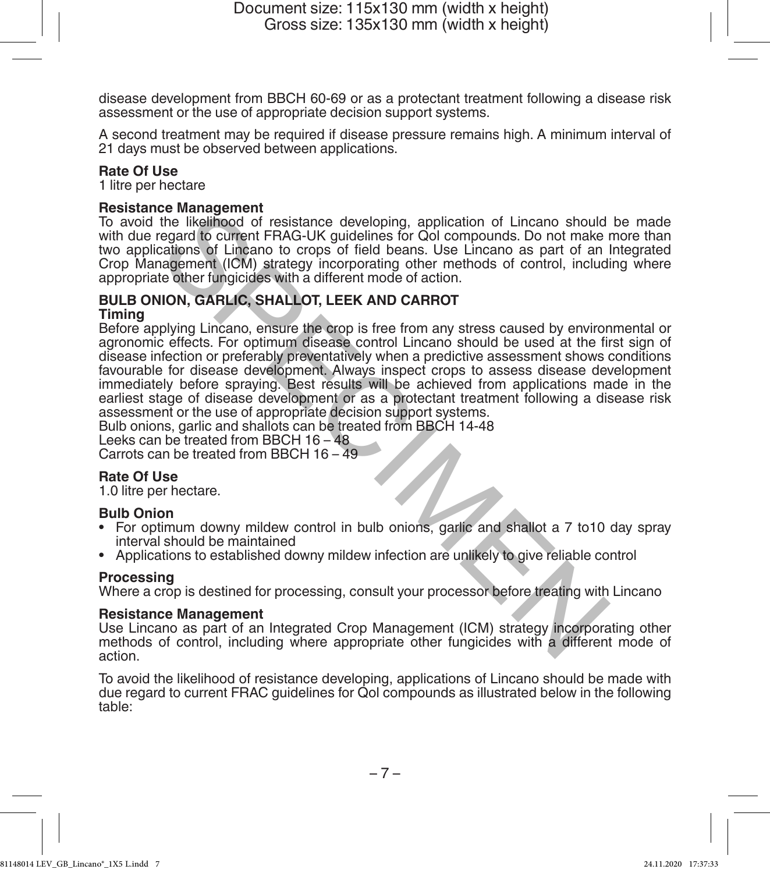disease development from BBCH 60-69 or as a protectant treatment following a disease risk assessment or the use of appropriate decision support systems.

A second treatment may be required if disease pressure remains high. A minimum interval of 21 days must be observed between applications.

#### **Rate Of Use**

1 litre per hectare

## **Resistance Management**

To avoid the likelihood of resistance developing, application of Lincano should be made with due regard to current FRAG-UK guidelines for Qol compounds. Do not make more than two applications of Lincano to crops of field beans. Use Lincano as part of an Integrated Crop Management (ICM) strategy incorporating other methods of control, including where appropriate other fungicides with a different mode of action.

#### **BULB ONION, GARLIC, SHALLOT, LEEK AND CARROT Timing**

Before applying Lincano, ensure the crop is free from any stress caused by environmental or agronomic effects. For optimum disease control Lincano should be used at the first sign of disease infection or preferably preventatively when a predictive assessment shows conditions favourable for disease development. Always inspect crops to assess disease development immediately before spraying. Best results will be achieved from applications made in the earliest stage of disease development or as a protectant treatment following a disease risk assessment or the use of appropriate decision support systems. Ee windigement FRAG-UK guidelines for Ool compounds. Do not make the likelihood of resistance developing, application of Lincano should regard to current FRAG-UK guidelines for Ool compounds. Do not make calcanos as part o

Bulb onions, garlic and shallots can be treated from BBCH 14-48

Leeks can be treated from BBCH 16 – 48

Carrots can be treated from BBCH 16 – 49

## **Rate Of Use**

1.0 litre per hectare.

#### **Bulb Onion**

- For optimum downy mildew control in bulb onions, garlic and shallot a 7 to10 day spray interval should be maintained
- Applications to established downy mildew infection are unlikely to give reliable control

## **Processing**

Where a crop is destined for processing, consult your processor before treating with Lincano

#### **Resistance Management**

Use Lincano as part of an Integrated Crop Management (ICM) strategy incorporating other methods of control, including where appropriate other fungicides with a different mode of action.

To avoid the likelihood of resistance developing, applications of Lincano should be made with due regard to current FRAC guidelines for Qol compounds as illustrated below in the following table: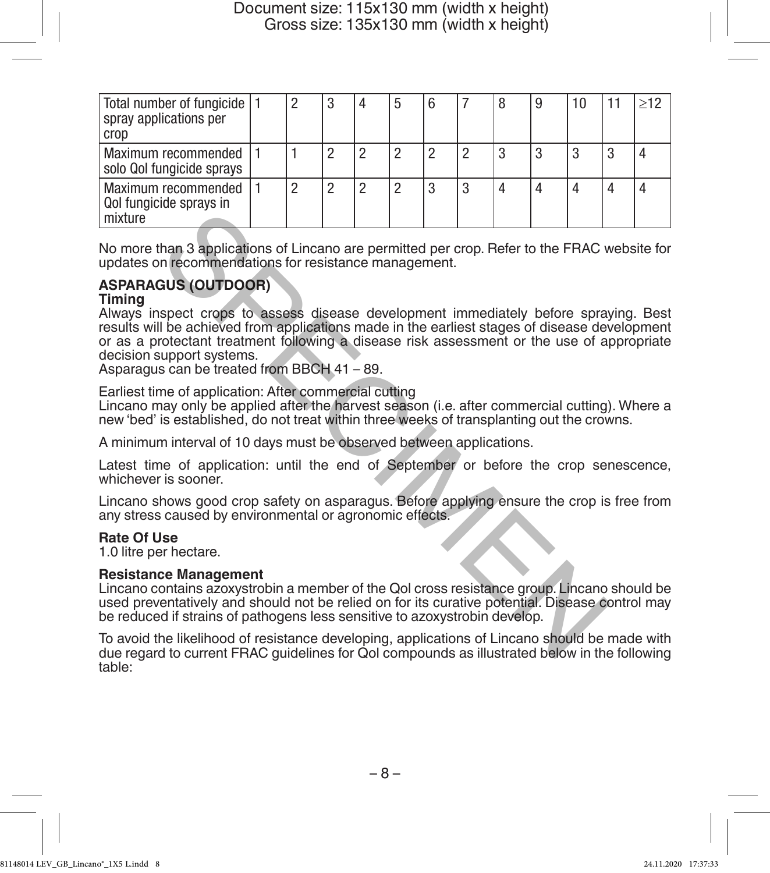| Total number of fungicide   1<br>spray applications per<br>crop |  | 3 | $\overline{4}$ |   | 8 | 9 |   |  |
|-----------------------------------------------------------------|--|---|----------------|---|---|---|---|--|
| Maximum recommended<br>solo Qol fungicide sprays                |  |   |                |   | 3 |   | 3 |  |
| Maximum recommended<br>Qol fungicide sprays in<br>mixture       |  | ∩ | 0              | 2 |   |   |   |  |

No more than 3 applications of Lincano are permitted per crop. Refer to the FRAC website for updates on recommendations for resistance management.

# **ASPARAGUS (OUTDOOR)**

## **Timing**

Always inspect crops to assess disease development immediately before spraying. Best results will be achieved from applications made in the earliest stages of disease development or as a protectant treatment following a disease risk assessment or the use of appropriate decision support systems. than 3 applications of Lincano are permitted per crop. Refer to the FRAC with an 3 applications for resistance management.<br>
SUS (OUTDOOR)<br>
Spect crops to assess disease development immediately before spray<br>
in the achieved

Asparagus can be treated from BBCH 41 – 89.

Earliest time of application: After commercial cutting

Lincano may only be applied after the harvest season (i.e. after commercial cutting). Where a new 'bed' is established, do not treat within three weeks of transplanting out the crowns.

A minimum interval of 10 days must be observed between applications.

Latest time of application: until the end of September or before the crop senescence, whichever is sooner.

Lincano shows good crop safety on asparagus. Before applying ensure the crop is free from any stress caused by environmental or agronomic effects.

## **Rate Of Use**

1.0 litre per hectare.

## **Resistance Management**

Lincano contains azoxystrobin a member of the Qol cross resistance group. Lincano should be used preventatively and should not be relied on for its curative potential. Disease control may be reduced if strains of pathogens less sensitive to azoxystrobin develop.

To avoid the likelihood of resistance developing, applications of Lincano should be made with due regard to current FRAC guidelines for Qol compounds as illustrated below in the following table: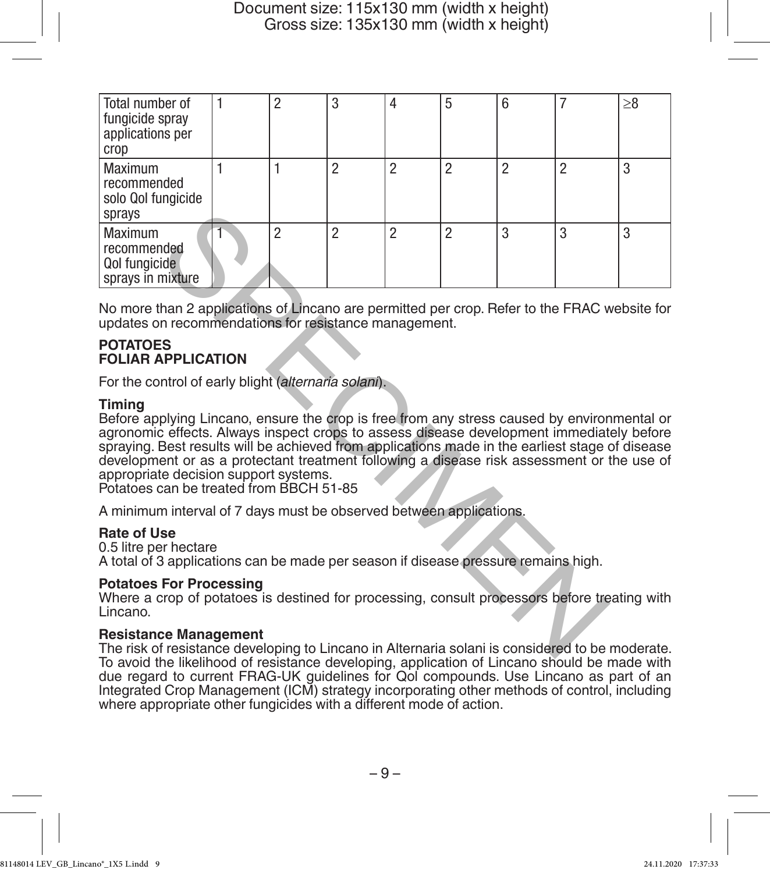| Total number of<br>fungicide spray<br>applications per<br>crop                                                                                                                                                                                                                                                                                                                                                                                                                                | 1 | $\overline{2}$ | 3                                                                                                               | 4              | 5              | 6              | $\overline{7}$ | >8 |
|-----------------------------------------------------------------------------------------------------------------------------------------------------------------------------------------------------------------------------------------------------------------------------------------------------------------------------------------------------------------------------------------------------------------------------------------------------------------------------------------------|---|----------------|-----------------------------------------------------------------------------------------------------------------|----------------|----------------|----------------|----------------|----|
| Maximum<br>recommended<br>solo Qol fungicide<br>sprays                                                                                                                                                                                                                                                                                                                                                                                                                                        | 1 | 1              | $\mathfrak{p}$                                                                                                  | $\overline{2}$ | $\overline{2}$ | $\overline{2}$ | $\overline{2}$ | 3  |
| Maximum<br>recommended<br>Qol fungicide<br>sprays in mixture                                                                                                                                                                                                                                                                                                                                                                                                                                  |   | $\overline{2}$ | $\overline{2}$                                                                                                  | $\overline{2}$ | $\overline{2}$ | 3              | 3              | 3  |
| No more than 2 applications of Lincano are permitted per crop. Refer to the FRAC website for<br>updates on recommendations for resistance management.                                                                                                                                                                                                                                                                                                                                         |   |                |                                                                                                                 |                |                |                |                |    |
| <b>POTATOES</b><br><b>FOLIAR APPLICATION</b>                                                                                                                                                                                                                                                                                                                                                                                                                                                  |   |                |                                                                                                                 |                |                |                |                |    |
| For the control of early blight (alternaria solani).                                                                                                                                                                                                                                                                                                                                                                                                                                          |   |                |                                                                                                                 |                |                |                |                |    |
| <b>Timina</b><br>Before applying Lincano, ensure the crop is free from any stress caused by environmental or<br>agronomic effects. Always inspect crops to assess disease development immediately before<br>spraying. Best results will be achieved from applications made in the earliest stage of disease<br>development or as a protectant treatment following a disease risk assessment or the use of<br>appropriate decision support systems.<br>Potatoes can be treated from BBCH 51-85 |   |                |                                                                                                                 |                |                |                |                |    |
| A minimum interval of 7 days must be observed between applications.                                                                                                                                                                                                                                                                                                                                                                                                                           |   |                |                                                                                                                 |                |                |                |                |    |
| <b>Rate of Use</b><br>0.5 litre per hectare<br>A total of 3 applications can be made per season if disease pressure remains high.                                                                                                                                                                                                                                                                                                                                                             |   |                |                                                                                                                 |                |                |                |                |    |
| <b>Potatoes For Processing</b><br>Where a crop of potatoes is destined for processing, consult processors before treating with<br>Lincano.                                                                                                                                                                                                                                                                                                                                                    |   |                |                                                                                                                 |                |                |                |                |    |
| <b>Resistance Management</b><br>The risk of resistance developing to Lincano in Alternaria solani is considered to be moderate.                                                                                                                                                                                                                                                                                                                                                               |   |                | the contract of the contract of the contract of the contract of the contract of the contract of the contract of |                |                |                |                |    |

## **POTATOES FOLIAR APPLICATION**

## **Timing**

#### **Rate of Use**

#### **Potatoes For Processing**

#### **Resistance Management**

The risk of resistance developing to Lincano in Alternaria solani is considered to be moderate. To avoid the likelihood of resistance developing, application of Lincano should be made with due regard to current FRAG-UK guidelines for Qol compounds. Use Lincano as part of an Integrated Crop Management (ICM) strategy incorporating other methods of control, including where appropriate other fungicides with a different mode of action.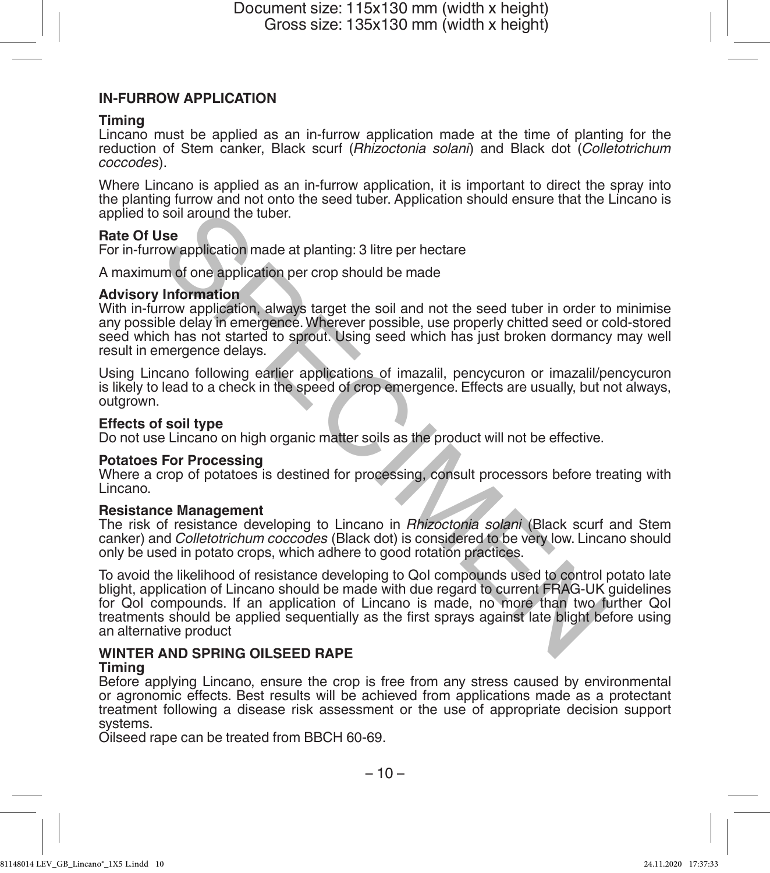#### **IN-FURROW APPLICATION**

#### **Timing**

Lincano must be applied as an in-furrow application made at the time of planting for the reduction of Stem canker, Black scurf (*Rhizoctonia solani*) and Black dot (*Colletotrichum coccodes*).

Where Lincano is applied as an in-furrow application, it is important to direct the spray into the planting furrow and not onto the seed tuber. Application should ensure that the Lincano is applied to soil around the tuber.

## **Rate Of Use**

For in-furrow application made at planting: 3 litre per hectare

A maximum of one application per crop should be made

#### **Advisory Information**

With in-furrow application, always target the soil and not the seed tuber in order to minimise any possible delay in emergence. Wherever possible, use properly chitted seed or cold-stored seed which has not started to sprout. Using seed which has just broken dormancy may well result in emergence delays.

Using Lincano following earlier applications of imazalil, pencycuron or imazalil/pencycuron is likely to lead to a check in the speed of crop emergence. Effects are usually, but not always, outgrown.

#### **Effects of soil type**

Do not use Lincano on high organic matter soils as the product will not be effective.

#### **Potatoes For Processing**

Where a crop of potatoes is destined for processing, consult processors before treating with Lincano.

#### **Resistance Management**

The risk of resistance developing to Lincano in *Rhizoctonia solani* (Black scurf and Stem canker) and *Colletotrichum coccodes* (Black dot) is considered to be very low. Lincano should only be used in potato crops, which adhere to good rotation practices.

To avoid the likelihood of resistance developing to QoI compounds used to control potato late blight, application of Lincano should be made with due regard to current FRAG-UK guidelines for QoI compounds. If an application of Lincano is made, no more than two further QoI treatments should be applied sequentially as the first sprays against late blight before using an alternative product **Soli around the tuber.**<br>
Soli around the tuber.<br>
Soli around the dealth made at planting: 3 litre per hectare<br>
Im of one application per crop should be made<br>
Information<br>
Information<br>
Information<br>
Internation always targe

# **WINTER AND SPRING OILSEED RAPE**

#### **Timing**

Before applying Lincano, ensure the crop is free from any stress caused by environmental or agronomic effects. Best results will be achieved from applications made as a protectant treatment following a disease risk assessment or the use of appropriate decision support systems.

Oilseed rape can be treated from BBCH 60-69.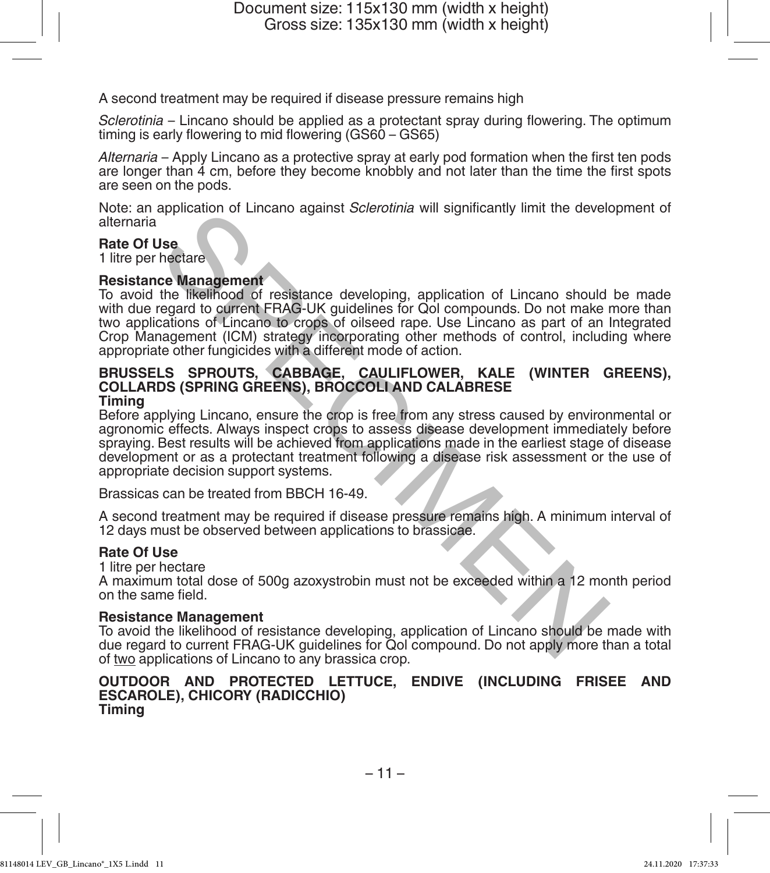A second treatment may be required if disease pressure remains high

*Sclerotinia* – Lincano should be applied as a protectant spray during flowering. The optimum timing is early flowering to mid flowering (GS60 – GS65)

*Alternaria* – Apply Lincano as a protective spray at early pod formation when the first ten pods are longer than 4 cm, before they become knobbly and not later than the time the first spots are seen on the pods.

Note: an application of Lincano against *Sclerotinia* will significantly limit the development of alternaria

# **Rate Of Use**

1 litre per hectare

#### **Resistance Management**

To avoid the likelihood of resistance developing, application of Lincano should be made with due regard to current FRAG-UK guidelines for Qol compounds. Do not make more than two applications of Lincano to crops of oilseed rape. Use Lincano as part of an Integrated Crop Management (ICM) strategy incorporating other methods of control, including where appropriate other fungicides with a different mode of action.

#### **BRUSSELS SPROUTS, CABBAGE, CAULIFLOWER, KALE (WINTER GREENS), COLLARDS (SPRING GREENS), BROCCOLI AND CALABRESE Timing**

Before applying Lincano, ensure the crop is free from any stress caused by environmental or agronomic effects. Always inspect crops to assess disease development immediately before spraying. Best results will be achieved from applications made in the earliest stage of disease development or as a protectant treatment following a disease risk assessment or the use of appropriate decision support systems. spinciation of Lincario against *Sciencinia* will significantly limit the development<br>
Section<br>
the likelihood of resistance developing, application of Lincario should<br>
regard to current FRAG-UK guidelines for Odi compound

Brassicas can be treated from BBCH 16-49.

A second treatment may be required if disease pressure remains high. A minimum interval of 12 days must be observed between applications to brassicae.

#### **Rate Of Use**

1 litre per hectare

A maximum total dose of 500g azoxystrobin must not be exceeded within a 12 month period on the same field.

## **Resistance Management**

To avoid the likelihood of resistance developing, application of Lincano should be made with due regard to current FRAG-UK guidelines for Qol compound. Do not apply more than a total of two applications of Lincano to any brassica crop.

#### **OUTDOOR AND PROTECTED LETTUCE, ENDIVE (INCLUDING FRISEE AND ESCAROLE), CHICORY (RADICCHIO) Timing**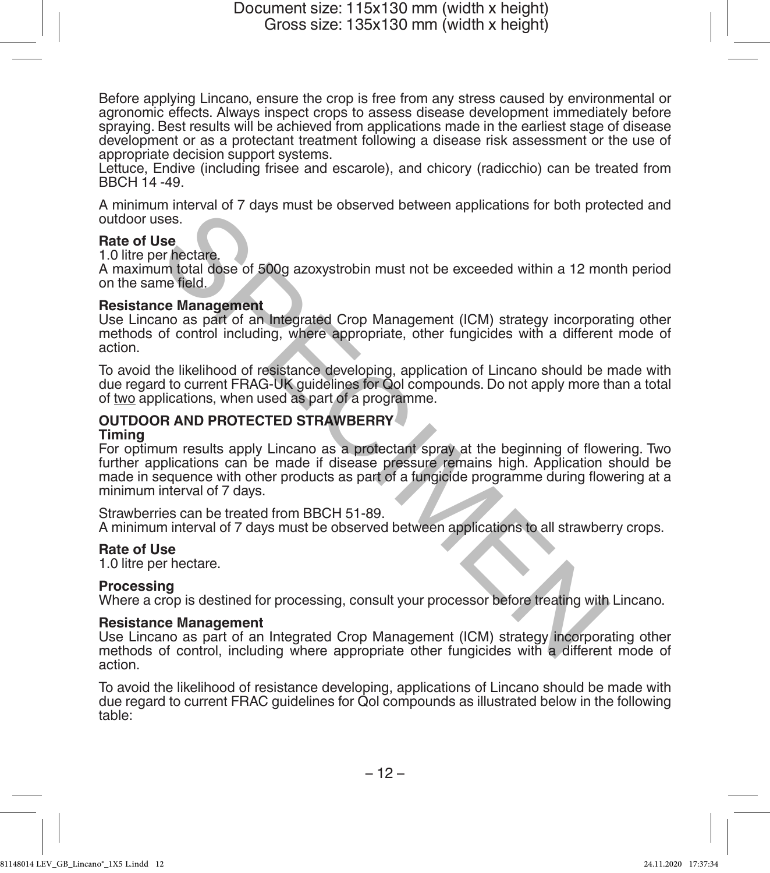Before applying Lincano, ensure the crop is free from any stress caused by environmental or agronomic effects. Always inspect crops to assess disease development immediately before spraying. Best results will be achieved from applications made in the earliest stage of disease development or as a protectant treatment following a disease risk assessment or the use of appropriate decision support systems.

Lettuce, Endive (including frisee and escarole), and chicory (radicchio) can be treated from BBCH 14 -49.

A minimum interval of 7 days must be observed between applications for both protected and outdoor uses.

## **Rate of Use**

1.0 litre per hectare.

A maximum total dose of 500g azoxystrobin must not be exceeded within a 12 month period on the same field.

#### **Resistance Management**

Use Lincano as part of an Integrated Crop Management (ICM) strategy incorporating other methods of control including, where appropriate, other fungicides with a different mode of action.

To avoid the likelihood of resistance developing, application of Lincano should be made with due regard to current FRAG-UK guidelines for Qol compounds. Do not apply more than a total of two applications, when used as part of a programme.

## **OUTDOOR AND PROTECTED STRAWBERRY**

#### **Timing**

For optimum results apply Lincano as a protectant spray at the beginning of flowering. Two further applications can be made if disease pressure remains high. Application should be made in sequence with other products as part of a fungicide programme during flowering at a minimum interval of 7 days. minimized or Follow and the exceeded within a 12 mondants and the exceeded within a 12 mone field.<br>
Ses.<br>
Ses.<br>
Ses.<br>
Ses.<br>
In total dose of 500g azoxystrobin must not be exceeded within a 12 mone field.<br>
Common as part of

Strawberries can be treated from BBCH 51-89. A minimum interval of 7 days must be observed between applications to all strawberry crops.

#### **Rate of Use**

1.0 litre per hectare.

#### **Processing**

Where a crop is destined for processing, consult your processor before treating with Lincano.

#### **Resistance Management**

Use Lincano as part of an Integrated Crop Management (ICM) strategy incorporating other methods of control, including where appropriate other fungicides with a different mode of action.

To avoid the likelihood of resistance developing, applications of Lincano should be made with due regard to current FRAC guidelines for Qol compounds as illustrated below in the following table: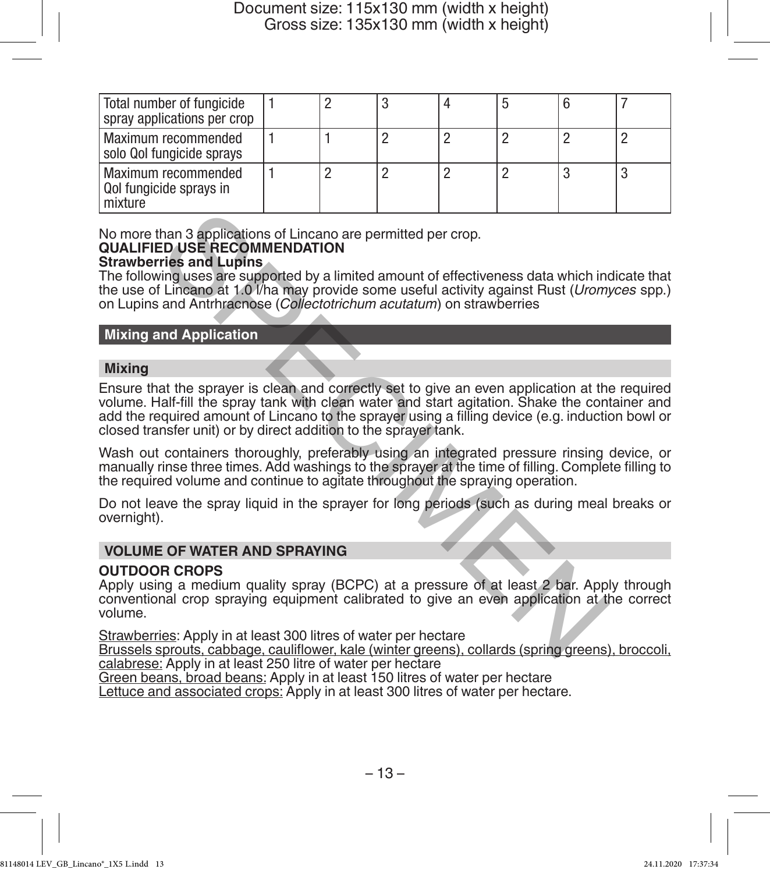| Total number of fungicide<br>spray applications per crop  |  |  |  |   |
|-----------------------------------------------------------|--|--|--|---|
| Maximum recommended<br>solo Qol fungicide sprays          |  |  |  |   |
| Maximum recommended<br>Qol fungicide sprays in<br>mixture |  |  |  | u |

No more than 3 applications of Lincano are permitted per crop.

#### **QUALIFIED USE RECOMMENDATION Strawberries and Lupins**

The following uses are supported by a limited amount of effectiveness data which indicate that the use of Lincano at 1.0 l/ha may provide some useful activity against Rust (*Uromyces* spp.) on Lupins and Antrhracnose (*Collectotrichum acutatum*) on strawberries

## **Mixing and Application**

## **Mixing**

Ensure that the sprayer is clean and correctly set to give an even application at the required volume. Half-fill the spray tank with clean water and start agitation. Shake the container and add the required amount of Lincano to the sprayer using a filling device (e.g. induction bowl or closed transfer unit) or by direct addition to the sprayer tank. than 3 applications of Lincano are permitted per crop.<br>
ED USE RECOMMENDATION<br>
Tries and Lupins<br>
Tries and Lupins<br>
Tries and Lupins<br>
In the same supported by a limited amount of effectiveness data which in<br>
It lines are su

Wash out containers thoroughly, preferably using an integrated pressure rinsing device, or manually rinse three times. Add washings to the sprayer at the time of filling. Complete filling to the required volume and continue to agitate throughout the spraying operation.

Do not leave the spray liquid in the sprayer for long periods (such as during meal breaks or overnight).

## **VOLUME OF WATER AND SPRAYING**

## **OUTDOOR CROPS**

Apply using a medium quality spray (BCPC) at a pressure of at least 2 bar. Apply through conventional crop spraying equipment calibrated to give an even application at the correct volume.

Strawberries: Apply in at least 300 litres of water per hectare

Brussels sprouts, cabbage, cauliflower, kale (winter greens), collards (spring greens), broccoli, calabrese: Apply in at least 250 litre of water per hectare

Green beans, broad beans: Apply in at least 150 litres of water per hectare

Lettuce and associated crops: Apply in at least 300 litres of water per hectare.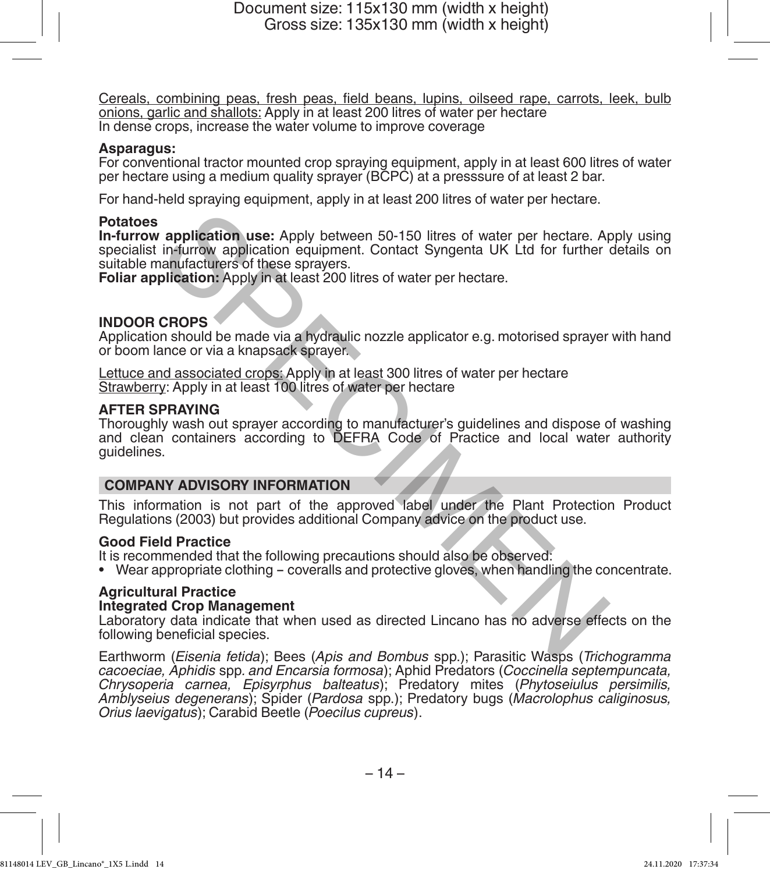Cereals, combining peas, fresh peas, field beans, lupins, oilseed rape, carrots, leek, bulb onions, garlic and shallots: Apply in at least 200 litres of water per hectare In dense crops, increase the water volume to improve coverage

#### **Asparagus:**

For conventional tractor mounted crop spraying equipment, apply in at least 600 litres of water per hectare using a medium quality sprayer (BCPC) at a presssure of at least 2 bar.

For hand-held spraying equipment, apply in at least 200 litres of water per hectare.

#### **Potatoes**

**In-furrow application use:** Apply between 50-150 litres of water per hectare. Apply using specialist in-furrow application equipment. Contact Syngenta UK Ltd for further details on suitable manufacturers of these sprayers.

**Foliar application:** Apply in at least 200 litres of water per hectare.

## **INDOOR CROPS**

Application should be made via a hydraulic nozzle applicator e.g. motorised sprayer with hand or boom lance or via a knapsack sprayer.

Lettuce and associated crops: Apply in at least 300 litres of water per hectare Strawberry: Apply in at least 100 litres of water per hectare

#### **AFTER SPRAYING**

Thoroughly wash out sprayer according to manufacturer's guidelines and dispose of washing and clean containers according to DEFRA Code of Practice and local water authority guidelines. **Example 12**<br>
in-furrow application equipment. Contact Syngenta UK Ltd for further<br>
in-furrow application equipment. Contact Syngenta UK Ltd for further<br>
plication: Apply in at least 200 litres of water per hectare.<br> **CROP** 

#### **COMPANY ADVISORY INFORMATION**

This information is not part of the approved label under the Plant Protection Product Regulations (2003) but provides additional Company advice on the product use.

#### **Good Field Practice**

It is recommended that the following precautions should also be observed:

• Wear appropriate clothing - coveralls and protective gloves, when handling the concentrate.

#### **Agricultural Practice**

## **Integrated Crop Management**

Laboratory data indicate that when used as directed Lincano has no adverse effects on the following beneficial species.

Earthworm (*Eisenia fetida*); Bees (*Apis and Bombus* spp.); Parasitic Wasps (*Trichogramma cacoeciae, Aphidis* spp*. and Encarsia formosa*); Aphid Predators (*Coccinella septempuncata, Chrysoperia carnea, Episyrphus balteatus*); Predatory mites (*Phytoseiulus persimilis, Amblyseius degenerans*); Spider (*Pardosa* spp.); Predatory bugs (*Macrolophus caliginosus, Orius laevigatus*); Carabid Beetle (*Poecilus cupreus*).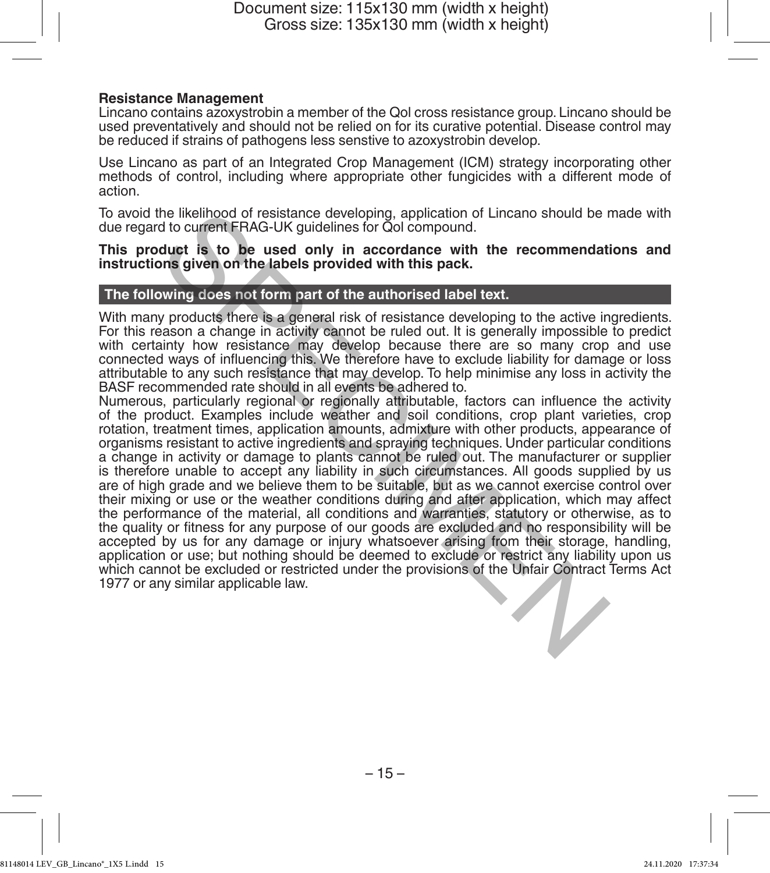#### **Resistance Management**

Lincano contains azoxystrobin a member of the Qol cross resistance group. Lincano should be used preventatively and should not be relied on for its curative potential. Disease control may be reduced if strains of pathogens less senstive to azoxystrobin develop.

Use Lincano as part of an Integrated Crop Management (ICM) strategy incorporating other methods of control, including where appropriate other fungicides with a different mode of action.

To avoid the likelihood of resistance developing, application of Lincano should be made with due regard to current FRAG-UK guidelines for Qol compound.

**This product is to be used only in accordance with the recommendations and instructions given on the labels provided with this pack.**

## **The following does not form part of the authorised label text.**

With many products there is a general risk of resistance developing to the active ingredients. For this reason a change in activity cannot be ruled out. It is generally impossible to predict with certainty how resistance may develop because there are so many crop and use connected ways of influencing this. We therefore have to exclude liability for damage or loss attributable to any such resistance that may develop. To help minimise any loss in activity the BASF recommended rate should in all events be adhered to.

Numerous, particularly regional or regionally attributable, factors can influence the activity of the product. Examples include weather and soil conditions, crop plant varieties, crop rotation, treatment times, application amounts, admixture with other products, appearance of organisms resistant to active ingredients and spraying techniques. Under particular conditions a change in activity or damage to plants cannot be ruled out. The manufacturer or supplier is therefore unable to accept any liability in such circumstances. All goods supplied by us are of high grade and we believe them to be suitable, but as we cannot exercise control over their mixing or use or the weather conditions during and after application, which may affect the performance of the material, all conditions and warranties, statutory or otherwise, as to the quality or fitness for any purpose of our goods are excluded and no responsibility will be accepted by us for any damage or injury whatsoever arising from their storage, handling, application or use; but nothing should be deemed to exclude or restrict any liability upon us which cannot be excluded or restricted under the provisions of the Unfair Contract Terms Act 1977 or any similar applicable law. the likelihood of resistance developing, application of Lincano should be relation of this current FRAG-UK guidelines for Qol compound.<br>
duct is to be used only in accordance with the recommendations given on the labels pr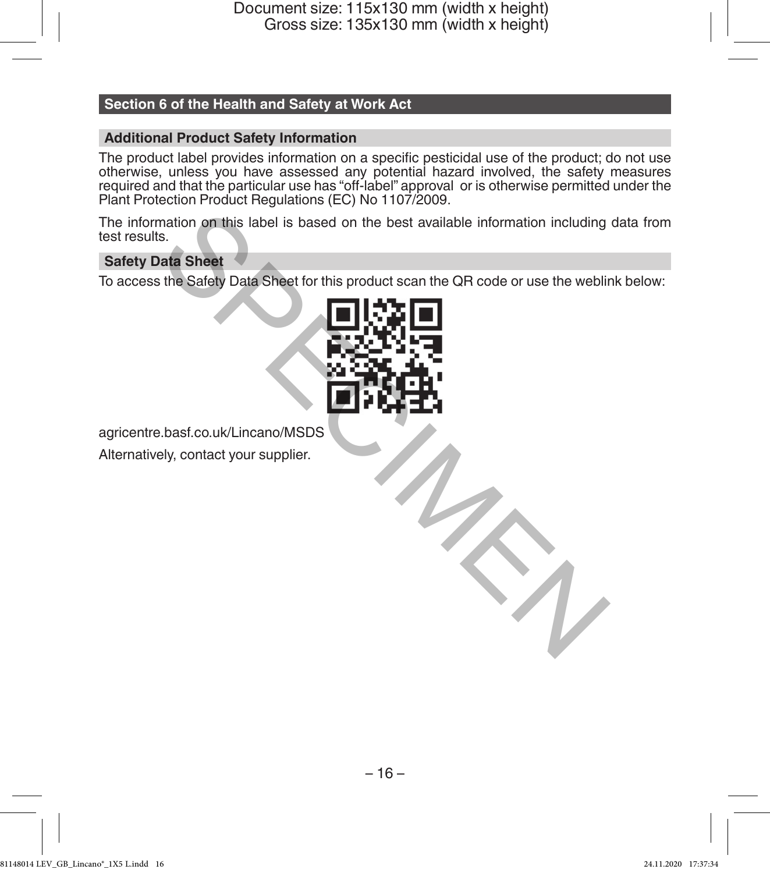# **Section 6 of the Health and Safety at Work Act**

## **Additional Product Safety Information**

The product label provides information on a specific pesticidal use of the product; do not use otherwise, unless you have assessed any potential hazard involved, the safety measures required and that the particular use has "off-label" approval or is otherwise permitted under the Plant Protection Product Regulations (EC) No 1107/2009.

The information on this label is based on the best available information including data from test results.

## **Safety Data Sheet**

To access the Safety Data Sheet for this product scan the QR code or use the weblink below:



agricentre.basf.co.uk/Lincano/MSDS

Alternatively, contact your supplier.